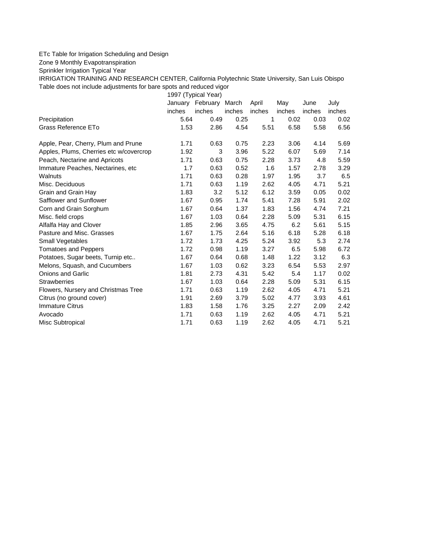## ETc Table for Irrigation Scheduling and Design

Zone 9 Monthly Evapotranspiration

Sprinkler Irrigation Typical Year

IRRIGATION TRAINING AND RESEARCH CENTER, California Polytechnic State University, San Luis Obispo Table does not include adjustments for bare spots and reduced vigor

1997 (Typical Year)

|                                         |        | January February March |        | April  | May    | June   | July   |
|-----------------------------------------|--------|------------------------|--------|--------|--------|--------|--------|
|                                         | inches | inches                 | inches | inches | inches | inches | inches |
| Precipitation                           | 5.64   | 0.49                   | 0.25   | 1      | 0.02   | 0.03   | 0.02   |
| Grass Reference ETo                     | 1.53   | 2.86                   | 4.54   | 5.51   | 6.58   | 5.58   | 6.56   |
| Apple, Pear, Cherry, Plum and Prune     | 1.71   | 0.63                   | 0.75   | 2.23   | 3.06   | 4.14   | 5.69   |
| Apples, Plums, Cherries etc w/covercrop | 1.92   | 3                      | 3.96   | 5.22   | 6.07   | 5.69   | 7.14   |
| Peach, Nectarine and Apricots           | 1.71   | 0.63                   | 0.75   | 2.28   | 3.73   | 4.8    | 5.59   |
| Immature Peaches, Nectarines, etc       | 1.7    | 0.63                   | 0.52   | 1.6    | 1.57   | 2.78   | 3.29   |
| Walnuts                                 | 1.71   | 0.63                   | 0.28   | 1.97   | 1.95   | 3.7    | 6.5    |
| Misc. Deciduous                         | 1.71   | 0.63                   | 1.19   | 2.62   | 4.05   | 4.71   | 5.21   |
| Grain and Grain Hay                     | 1.83   | 3.2                    | 5.12   | 6.12   | 3.59   | 0.05   | 0.02   |
| Safflower and Sunflower                 | 1.67   | 0.95                   | 1.74   | 5.41   | 7.28   | 5.91   | 2.02   |
| Corn and Grain Sorghum                  | 1.67   | 0.64                   | 1.37   | 1.83   | 1.56   | 4.74   | 7.21   |
| Misc. field crops                       | 1.67   | 1.03                   | 0.64   | 2.28   | 5.09   | 5.31   | 6.15   |
| Alfalfa Hay and Clover                  | 1.85   | 2.96                   | 3.65   | 4.75   | 6.2    | 5.61   | 5.15   |
| Pasture and Misc. Grasses               | 1.67   | 1.75                   | 2.64   | 5.16   | 6.18   | 5.28   | 6.18   |
| Small Vegetables                        | 1.72   | 1.73                   | 4.25   | 5.24   | 3.92   | 5.3    | 2.74   |
| <b>Tomatoes and Peppers</b>             | 1.72   | 0.98                   | 1.19   | 3.27   | 6.5    | 5.98   | 6.72   |
| Potatoes, Sugar beets, Turnip etc       | 1.67   | 0.64                   | 0.68   | 1.48   | 1.22   | 3.12   | 6.3    |
| Melons, Squash, and Cucumbers           | 1.67   | 1.03                   | 0.62   | 3.23   | 6.54   | 5.53   | 2.97   |
| <b>Onions and Garlic</b>                | 1.81   | 2.73                   | 4.31   | 5.42   | 5.4    | 1.17   | 0.02   |
| <b>Strawberries</b>                     | 1.67   | 1.03                   | 0.64   | 2.28   | 5.09   | 5.31   | 6.15   |
| Flowers, Nursery and Christmas Tree     | 1.71   | 0.63                   | 1.19   | 2.62   | 4.05   | 4.71   | 5.21   |
| Citrus (no ground cover)                | 1.91   | 2.69                   | 3.79   | 5.02   | 4.77   | 3.93   | 4.61   |
| <b>Immature Citrus</b>                  | 1.83   | 1.58                   | 1.76   | 3.25   | 2.27   | 2.09   | 2.42   |
| Avocado                                 | 1.71   | 0.63                   | 1.19   | 2.62   | 4.05   | 4.71   | 5.21   |
| Misc Subtropical                        | 1.71   | 0.63                   | 1.19   | 2.62   | 4.05   | 4.71   | 5.21   |